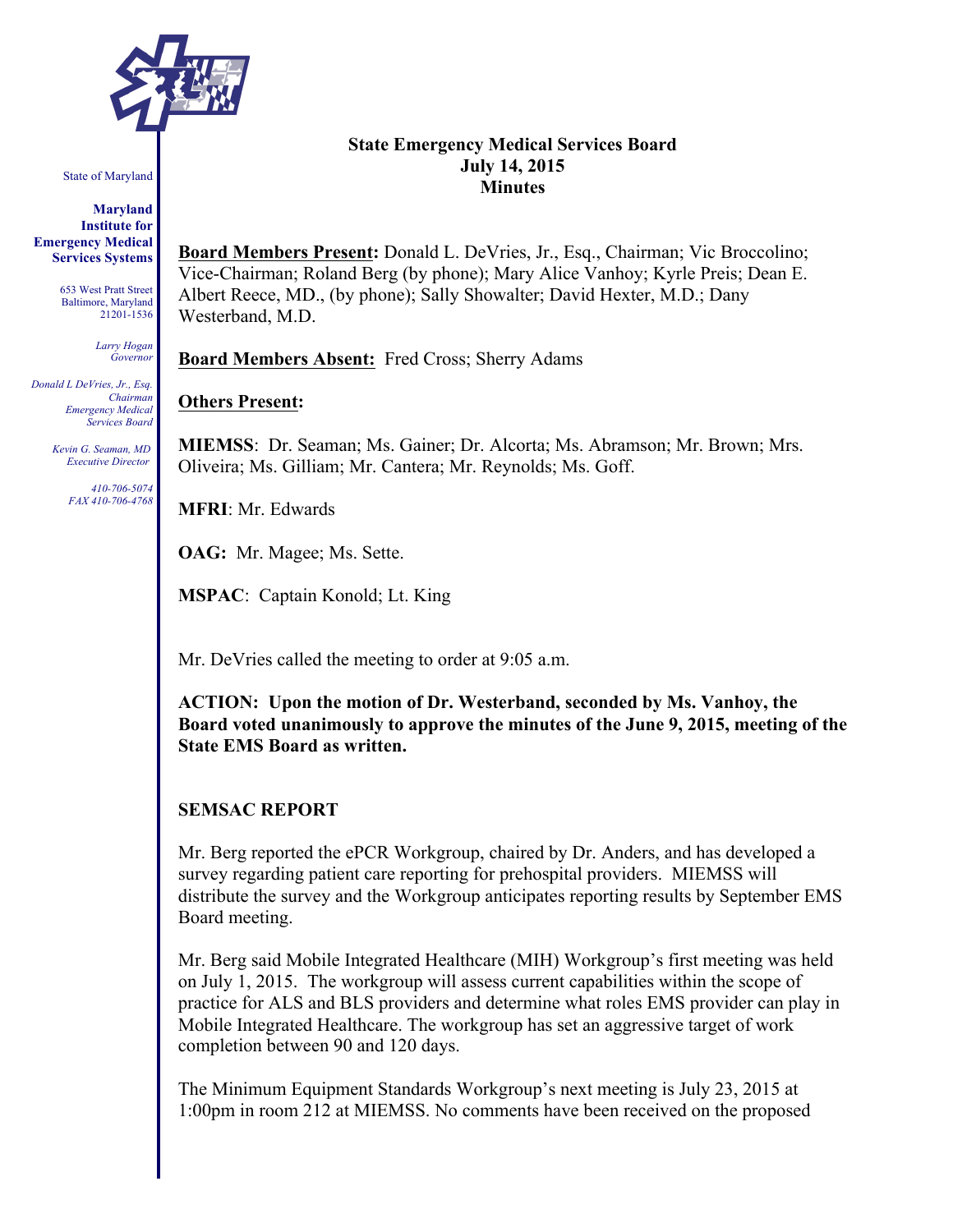

State of Maryland

**Maryland Institute for Emergency Medical Services Systems**

> 653 West Pratt Street Baltimore, Maryland 21201-1536

> > *Larry Hogan Governor*

*Donald L DeVries, Jr., Esq. Chairman Emergency Medical Services Board*

> *Kevin G. Seaman, MD Executive Director*

> > *410-706-5074 FAX 410-706-4768*

#### **State Emergency Medical Services Board July 14, 2015 Minutes**

**Board Members Present:** Donald L. DeVries, Jr., Esq., Chairman; Vic Broccolino; Vice-Chairman; Roland Berg (by phone); Mary Alice Vanhoy; Kyrle Preis; Dean E. Albert Reece, MD., (by phone); Sally Showalter; David Hexter, M.D.; Dany Westerband, M.D.

**Board Members Absent:** Fred Cross; Sherry Adams

## **Others Present:**

**MIEMSS**: Dr. Seaman; Ms. Gainer; Dr. Alcorta; Ms. Abramson; Mr. Brown; Mrs. Oliveira; Ms. Gilliam; Mr. Cantera; Mr. Reynolds; Ms. Goff.

**MFRI**: Mr. Edwards

**OAG:** Mr. Magee; Ms. Sette.

**MSPAC**: Captain Konold; Lt. King

Mr. DeVries called the meeting to order at 9:05 a.m.

**ACTION: Upon the motion of Dr. Westerband, seconded by Ms. Vanhoy, the Board voted unanimously to approve the minutes of the June 9, 2015, meeting of the State EMS Board as written.**

#### **SEMSAC REPORT**

Mr. Berg reported the ePCR Workgroup, chaired by Dr. Anders, and has developed a survey regarding patient care reporting for prehospital providers. MIEMSS will distribute the survey and the Workgroup anticipates reporting results by September EMS Board meeting.

Mr. Berg said Mobile Integrated Healthcare (MIH) Workgroup's first meeting was held on July 1, 2015. The workgroup will assess current capabilities within the scope of practice for ALS and BLS providers and determine what roles EMS provider can play in Mobile Integrated Healthcare. The workgroup has set an aggressive target of work completion between 90 and 120 days.

The Minimum Equipment Standards Workgroup's next meeting is July 23, 2015 at 1:00pm in room 212 at MIEMSS. No comments have been received on the proposed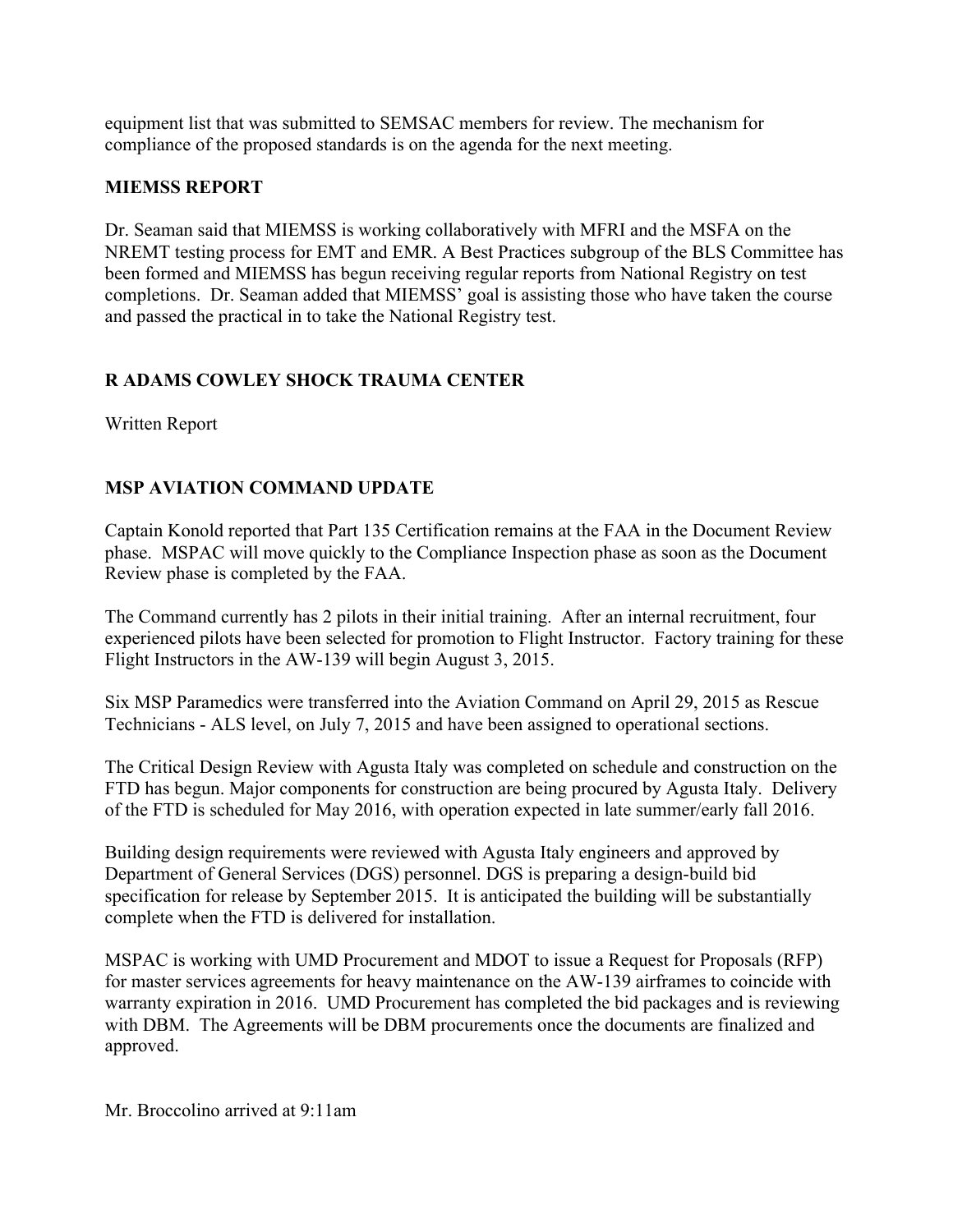equipment list that was submitted to SEMSAC members for review. The mechanism for compliance of the proposed standards is on the agenda for the next meeting.

## **MIEMSS REPORT**

Dr. Seaman said that MIEMSS is working collaboratively with MFRI and the MSFA on the NREMT testing process for EMT and EMR. A Best Practices subgroup of the BLS Committee has been formed and MIEMSS has begun receiving regular reports from National Registry on test completions. Dr. Seaman added that MIEMSS' goal is assisting those who have taken the course and passed the practical in to take the National Registry test.

# **R ADAMS COWLEY SHOCK TRAUMA CENTER**

Written Report

# **MSP AVIATION COMMAND UPDATE**

Captain Konold reported that Part 135 Certification remains at the FAA in the Document Review phase. MSPAC will move quickly to the Compliance Inspection phase as soon as the Document Review phase is completed by the FAA.

The Command currently has 2 pilots in their initial training. After an internal recruitment, four experienced pilots have been selected for promotion to Flight Instructor. Factory training for these Flight Instructors in the AW-139 will begin August 3, 2015.

Six MSP Paramedics were transferred into the Aviation Command on April 29, 2015 as Rescue Technicians - ALS level, on July 7, 2015 and have been assigned to operational sections.

The Critical Design Review with Agusta Italy was completed on schedule and construction on the FTD has begun. Major components for construction are being procured by Agusta Italy. Delivery of the FTD is scheduled for May 2016, with operation expected in late summer/early fall 2016.

Building design requirements were reviewed with Agusta Italy engineers and approved by Department of General Services (DGS) personnel. DGS is preparing a design-build bid specification for release by September 2015. It is anticipated the building will be substantially complete when the FTD is delivered for installation.

MSPAC is working with UMD Procurement and MDOT to issue a Request for Proposals (RFP) for master services agreements for heavy maintenance on the AW-139 airframes to coincide with warranty expiration in 2016. UMD Procurement has completed the bid packages and is reviewing with DBM. The Agreements will be DBM procurements once the documents are finalized and approved.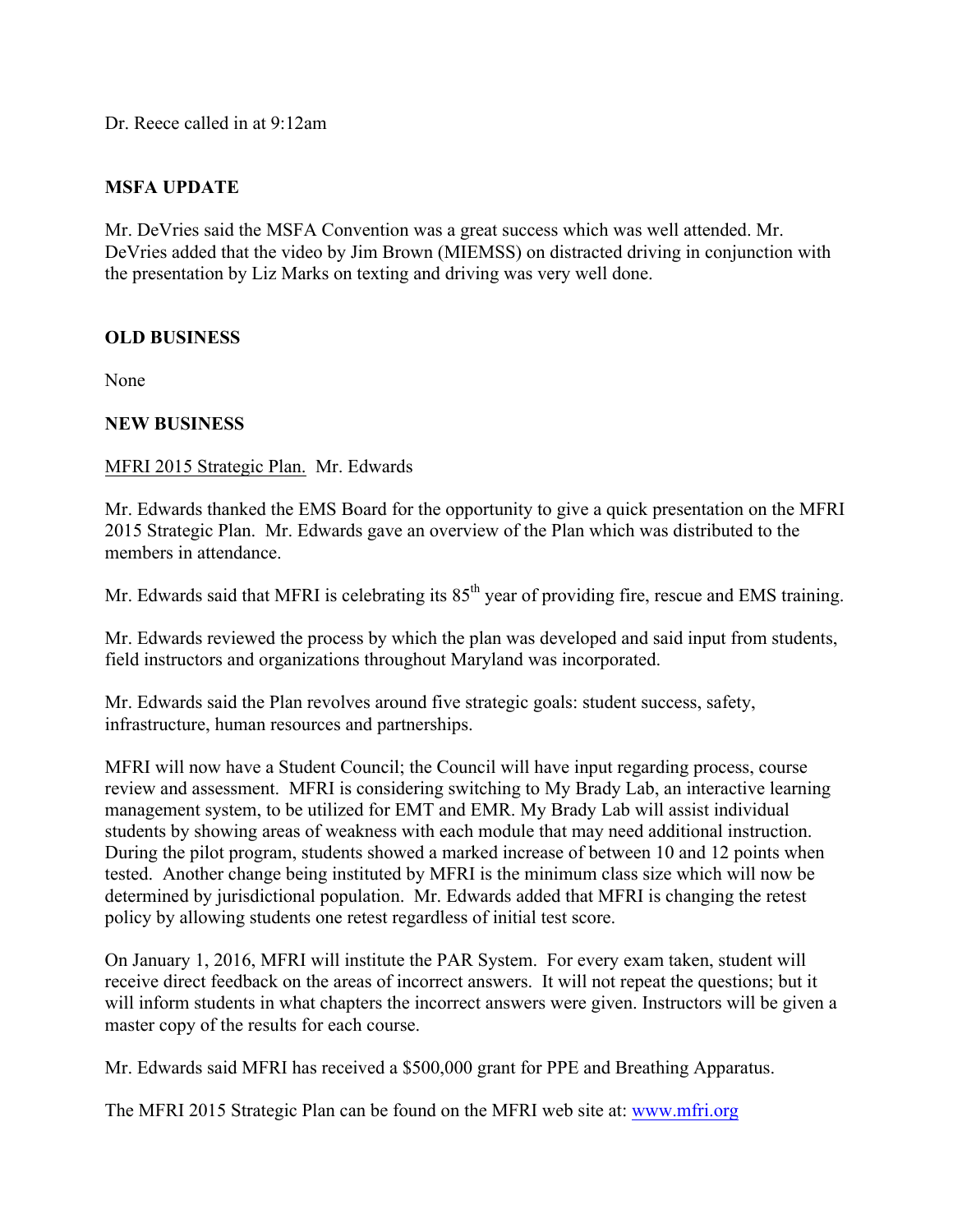Dr. Reece called in at 9:12am

## **MSFA UPDATE**

Mr. DeVries said the MSFA Convention was a great success which was well attended. Mr. DeVries added that the video by Jim Brown (MIEMSS) on distracted driving in conjunction with the presentation by Liz Marks on texting and driving was very well done.

## **OLD BUSINESS**

None

### **NEW BUSINESS**

### MFRI 2015 Strategic Plan. Mr. Edwards

Mr. Edwards thanked the EMS Board for the opportunity to give a quick presentation on the MFRI 2015 Strategic Plan. Mr. Edwards gave an overview of the Plan which was distributed to the members in attendance.

Mr. Edwards said that MFRI is celebrating its  $85<sup>th</sup>$  year of providing fire, rescue and EMS training.

Mr. Edwards reviewed the process by which the plan was developed and said input from students, field instructors and organizations throughout Maryland was incorporated.

Mr. Edwards said the Plan revolves around five strategic goals: student success, safety, infrastructure, human resources and partnerships.

MFRI will now have a Student Council; the Council will have input regarding process, course review and assessment. MFRI is considering switching to My Brady Lab, an interactive learning management system, to be utilized for EMT and EMR. My Brady Lab will assist individual students by showing areas of weakness with each module that may need additional instruction. During the pilot program, students showed a marked increase of between 10 and 12 points when tested. Another change being instituted by MFRI is the minimum class size which will now be determined by jurisdictional population. Mr. Edwards added that MFRI is changing the retest policy by allowing students one retest regardless of initial test score.

On January 1, 2016, MFRI will institute the PAR System. For every exam taken, student will receive direct feedback on the areas of incorrect answers. It will not repeat the questions; but it will inform students in what chapters the incorrect answers were given. Instructors will be given a master copy of the results for each course.

Mr. Edwards said MFRI has received a \$500,000 grant for PPE and Breathing Apparatus.

The MFRI 2015 Strategic Plan can be found on the MFRI web site at: www.mfri.org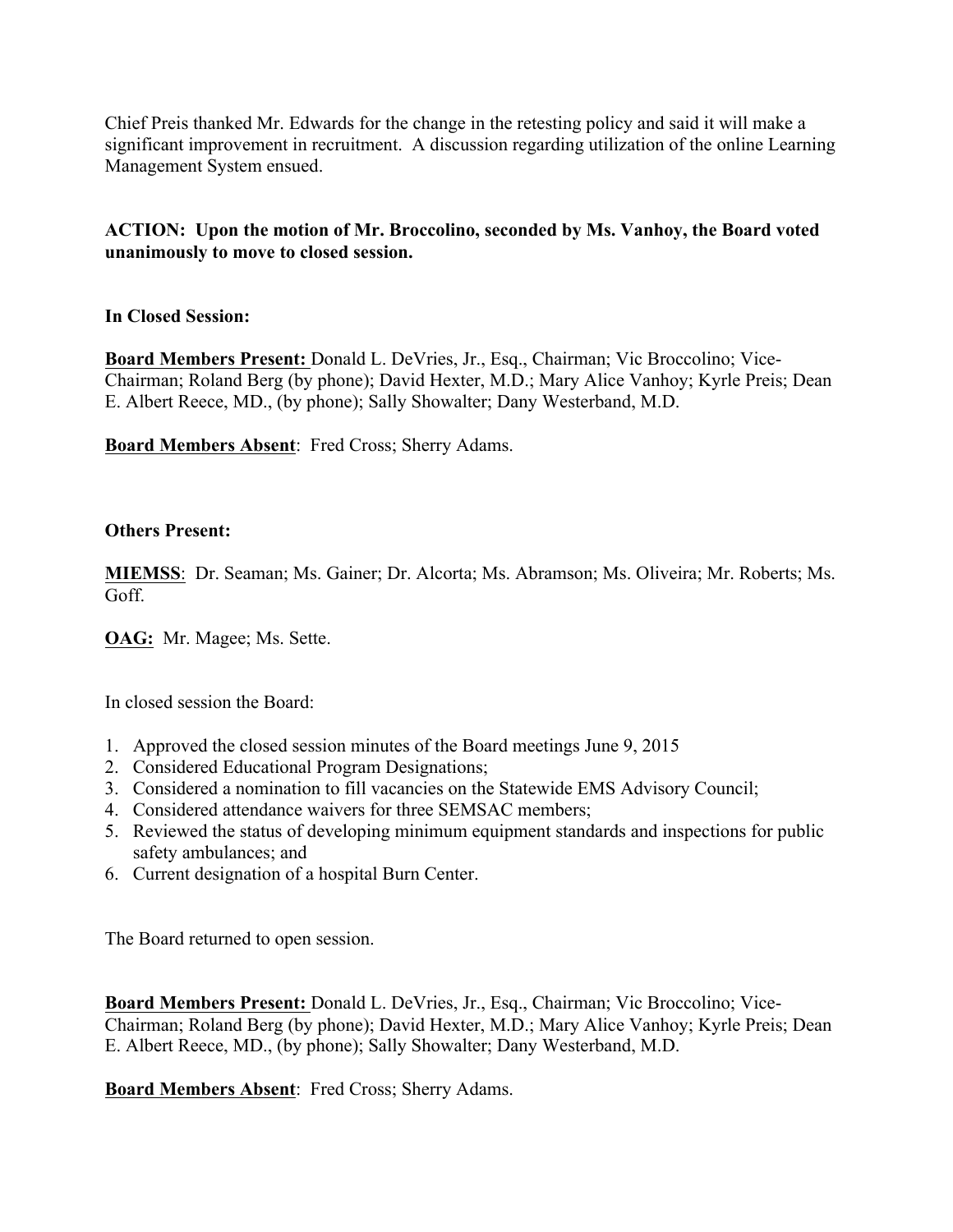Chief Preis thanked Mr. Edwards for the change in the retesting policy and said it will make a significant improvement in recruitment. A discussion regarding utilization of the online Learning Management System ensued.

### **ACTION: Upon the motion of Mr. Broccolino, seconded by Ms. Vanhoy, the Board voted unanimously to move to closed session.**

## **In Closed Session:**

**Board Members Present:** Donald L. DeVries, Jr., Esq., Chairman; Vic Broccolino; Vice-Chairman; Roland Berg (by phone); David Hexter, M.D.; Mary Alice Vanhoy; Kyrle Preis; Dean E. Albert Reece, MD., (by phone); Sally Showalter; Dany Westerband, M.D.

**Board Members Absent**: Fred Cross; Sherry Adams.

### **Others Present:**

**MIEMSS**: Dr. Seaman; Ms. Gainer; Dr. Alcorta; Ms. Abramson; Ms. Oliveira; Mr. Roberts; Ms. Goff.

**OAG:** Mr. Magee; Ms. Sette.

In closed session the Board:

- 1. Approved the closed session minutes of the Board meetings June 9, 2015
- 2. Considered Educational Program Designations;
- 3. Considered a nomination to fill vacancies on the Statewide EMS Advisory Council;
- 4. Considered attendance waivers for three SEMSAC members;
- 5. Reviewed the status of developing minimum equipment standards and inspections for public safety ambulances; and
- 6. Current designation of a hospital Burn Center.

The Board returned to open session.

**Board Members Present:** Donald L. DeVries, Jr., Esq., Chairman; Vic Broccolino; Vice-Chairman; Roland Berg (by phone); David Hexter, M.D.; Mary Alice Vanhoy; Kyrle Preis; Dean E. Albert Reece, MD., (by phone); Sally Showalter; Dany Westerband, M.D.

**Board Members Absent**: Fred Cross; Sherry Adams.